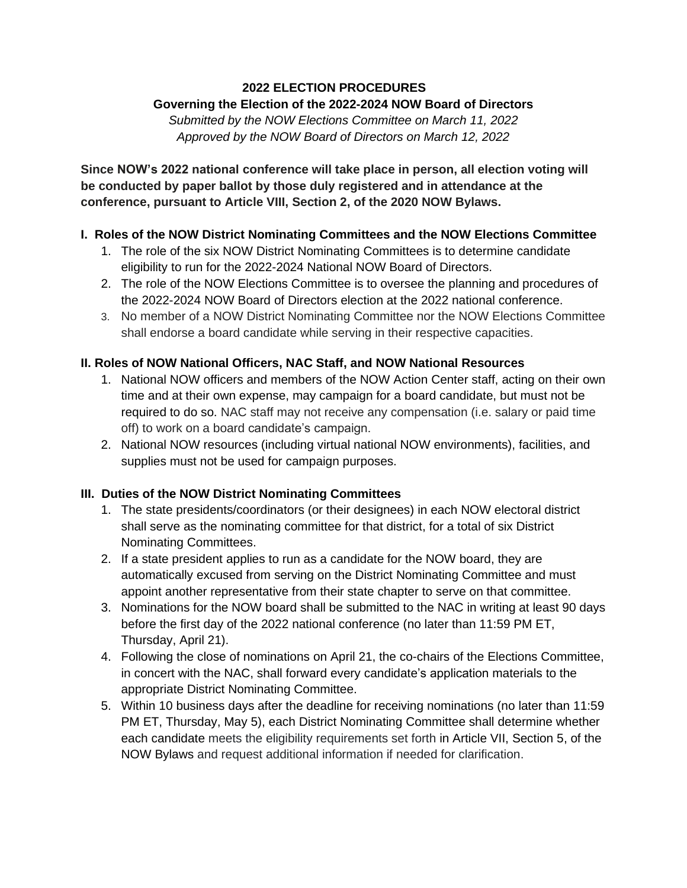#### **2022 ELECTION PROCEDURES Governing the Election of the 2022-2024 NOW Board of Directors**

*Submitted by the NOW Elections Committee on March 11, 2022 Approved by the NOW Board of Directors on March 12, 2022*

**Since NOW's 2022 national conference will take place in person, all election voting will be conducted by paper ballot by those duly registered and in attendance at the conference, pursuant to Article VIII, Section 2, of the 2020 NOW Bylaws.**

## **I. Roles of the NOW District Nominating Committees and the NOW Elections Committee**

- 1. The role of the six NOW District Nominating Committees is to determine candidate eligibility to run for the 2022-2024 National NOW Board of Directors.
- 2. The role of the NOW Elections Committee is to oversee the planning and procedures of the 2022-2024 NOW Board of Directors election at the 2022 national conference.
- 3. No member of a NOW District Nominating Committee nor the NOW Elections Committee shall endorse a board candidate while serving in their respective capacities.

## **II. Roles of NOW National Officers, NAC Staff, and NOW National Resources**

- 1. National NOW officers and members of the NOW Action Center staff, acting on their own time and at their own expense, may campaign for a board candidate, but must not be required to do so. NAC staff may not receive any compensation (i.e. salary or paid time off) to work on a board candidate's campaign.
- 2. National NOW resources (including virtual national NOW environments), facilities, and supplies must not be used for campaign purposes.

# **III. Duties of the NOW District Nominating Committees**

- 1. The state presidents/coordinators (or their designees) in each NOW electoral district shall serve as the nominating committee for that district, for a total of six District Nominating Committees.
- 2. If a state president applies to run as a candidate for the NOW board, they are automatically excused from serving on the District Nominating Committee and must appoint another representative from their state chapter to serve on that committee.
- 3. Nominations for the NOW board shall be submitted to the NAC in writing at least 90 days before the first day of the 2022 national conference (no later than 11:59 PM ET, Thursday, April 21).
- 4. Following the close of nominations on April 21, the co-chairs of the Elections Committee, in concert with the NAC, shall forward every candidate's application materials to the appropriate District Nominating Committee.
- 5. Within 10 business days after the deadline for receiving nominations (no later than 11:59 PM ET, Thursday, May 5), each District Nominating Committee shall determine whether each candidate meets the eligibility requirements set forth in Article VII, Section 5, of the NOW Bylaws and request additional information if needed for clarification.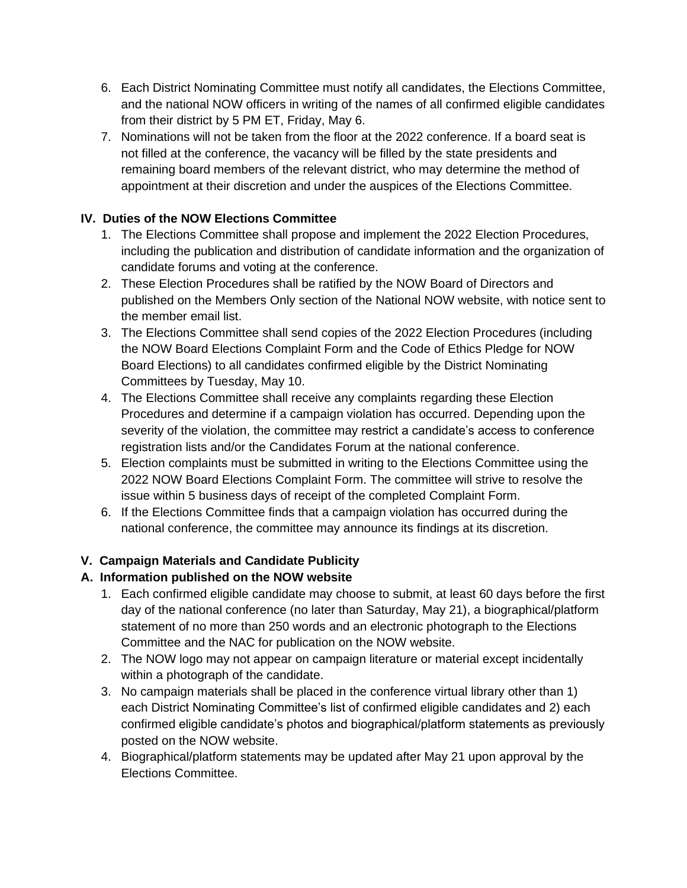- 6. Each District Nominating Committee must notify all candidates, the Elections Committee, and the national NOW officers in writing of the names of all confirmed eligible candidates from their district by 5 PM ET, Friday, May 6.
- 7. Nominations will not be taken from the floor at the 2022 conference. If a board seat is not filled at the conference, the vacancy will be filled by the state presidents and remaining board members of the relevant district, who may determine the method of appointment at their discretion and under the auspices of the Elections Committee.

# **IV. Duties of the NOW Elections Committee**

- 1. The Elections Committee shall propose and implement the 2022 Election Procedures, including the publication and distribution of candidate information and the organization of candidate forums and voting at the conference.
- 2. These Election Procedures shall be ratified by the NOW Board of Directors and published on the Members Only section of the National NOW website, with notice sent to the member email list.
- 3. The Elections Committee shall send copies of the 2022 Election Procedures (including the NOW Board Elections Complaint Form and the Code of Ethics Pledge for NOW Board Elections) to all candidates confirmed eligible by the District Nominating Committees by Tuesday, May 10.
- 4. The Elections Committee shall receive any complaints regarding these Election Procedures and determine if a campaign violation has occurred. Depending upon the severity of the violation, the committee may restrict a candidate's access to conference registration lists and/or the Candidates Forum at the national conference.
- 5. Election complaints must be submitted in writing to the Elections Committee using the 2022 NOW Board Elections Complaint Form. The committee will strive to resolve the issue within 5 business days of receipt of the completed Complaint Form.
- 6. If the Elections Committee finds that a campaign violation has occurred during the national conference, the committee may announce its findings at its discretion.

# **V. Campaign Materials and Candidate Publicity**

# **A. Information published on the NOW website**

- 1. Each confirmed eligible candidate may choose to submit, at least 60 days before the first day of the national conference (no later than Saturday, May 21), a biographical/platform statement of no more than 250 words and an electronic photograph to the Elections Committee and the NAC for publication on the NOW website.
- 2. The NOW logo may not appear on campaign literature or material except incidentally within a photograph of the candidate.
- 3. No campaign materials shall be placed in the conference virtual library other than 1) each District Nominating Committee's list of confirmed eligible candidates and 2) each confirmed eligible candidate's photos and biographical/platform statements as previously posted on the NOW website.
- 4. Biographical/platform statements may be updated after May 21 upon approval by the Elections Committee.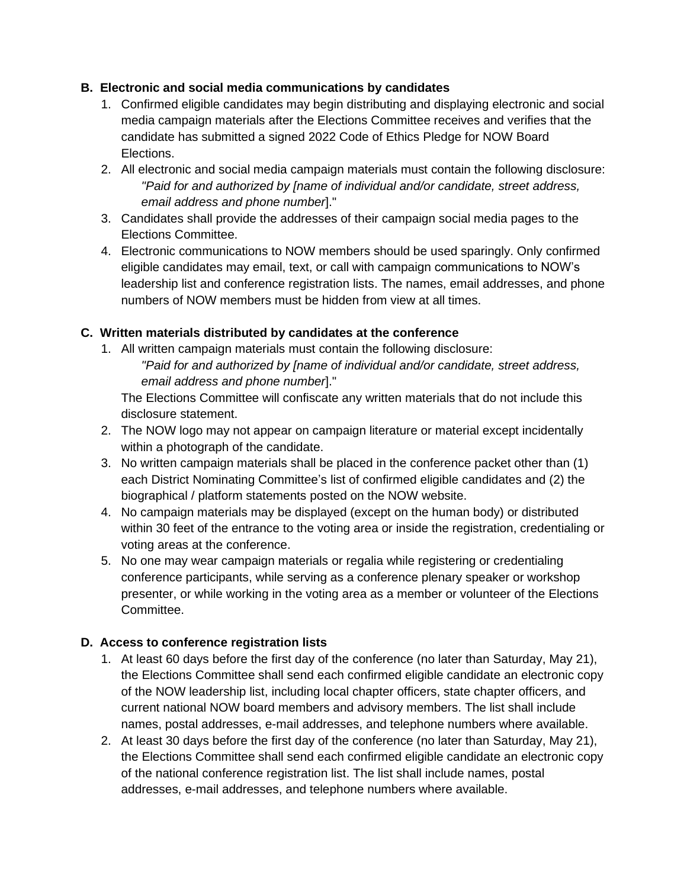#### **B. Electronic and social media communications by candidates**

- 1. Confirmed eligible candidates may begin distributing and displaying electronic and social media campaign materials after the Elections Committee receives and verifies that the candidate has submitted a signed 2022 Code of Ethics Pledge for NOW Board Elections.
- 2. All electronic and social media campaign materials must contain the following disclosure: *"Paid for and authorized by [name of individual and/or candidate, street address, email address and phone number*]."
- 3. Candidates shall provide the addresses of their campaign social media pages to the Elections Committee.
- 4. Electronic communications to NOW members should be used sparingly. Only confirmed eligible candidates may email, text, or call with campaign communications to NOW's leadership list and conference registration lists. The names, email addresses, and phone numbers of NOW members must be hidden from view at all times.

# **C. Written materials distributed by candidates at the conference**

1. All written campaign materials must contain the following disclosure: *"Paid for and authorized by [name of individual and/or candidate, street address, email address and phone number*]."

The Elections Committee will confiscate any written materials that do not include this disclosure statement.

- 2. The NOW logo may not appear on campaign literature or material except incidentally within a photograph of the candidate.
- 3. No written campaign materials shall be placed in the conference packet other than (1) each District Nominating Committee's list of confirmed eligible candidates and (2) the biographical / platform statements posted on the NOW website.
- 4. No campaign materials may be displayed (except on the human body) or distributed within 30 feet of the entrance to the voting area or inside the registration, credentialing or voting areas at the conference.
- 5. No one may wear campaign materials or regalia while registering or credentialing conference participants, while serving as a conference plenary speaker or workshop presenter, or while working in the voting area as a member or volunteer of the Elections Committee.

# **D. Access to conference registration lists**

- 1. At least 60 days before the first day of the conference (no later than Saturday, May 21), the Elections Committee shall send each confirmed eligible candidate an electronic copy of the NOW leadership list, including local chapter officers, state chapter officers, and current national NOW board members and advisory members. The list shall include names, postal addresses, e-mail addresses, and telephone numbers where available.
- 2. At least 30 days before the first day of the conference (no later than Saturday, May 21), the Elections Committee shall send each confirmed eligible candidate an electronic copy of the national conference registration list. The list shall include names, postal addresses, e-mail addresses, and telephone numbers where available.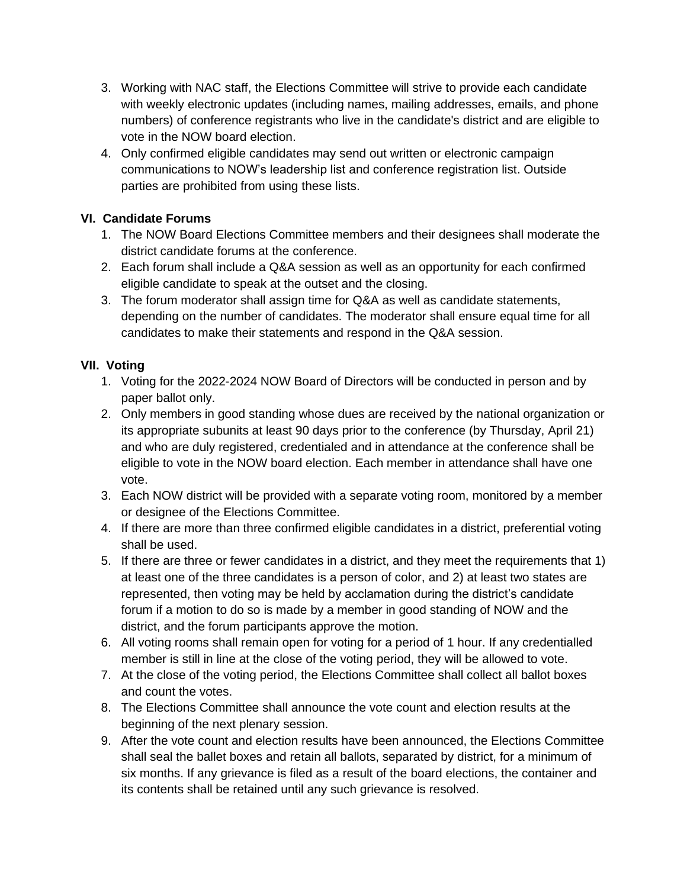- 3. Working with NAC staff, the Elections Committee will strive to provide each candidate with weekly electronic updates (including names, mailing addresses, emails, and phone numbers) of conference registrants who live in the candidate's district and are eligible to vote in the NOW board election.
- 4. Only confirmed eligible candidates may send out written or electronic campaign communications to NOW's leadership list and conference registration list. Outside parties are prohibited from using these lists.

## **VI. Candidate Forums**

- 1. The NOW Board Elections Committee members and their designees shall moderate the district candidate forums at the conference.
- 2. Each forum shall include a Q&A session as well as an opportunity for each confirmed eligible candidate to speak at the outset and the closing.
- 3. The forum moderator shall assign time for Q&A as well as candidate statements, depending on the number of candidates. The moderator shall ensure equal time for all candidates to make their statements and respond in the Q&A session.

## **VII. Voting**

- 1. Voting for the 2022-2024 NOW Board of Directors will be conducted in person and by paper ballot only.
- 2. Only members in good standing whose dues are received by the national organization or its appropriate subunits at least 90 days prior to the conference (by Thursday, April 21) and who are duly registered, credentialed and in attendance at the conference shall be eligible to vote in the NOW board election. Each member in attendance shall have one vote.
- 3. Each NOW district will be provided with a separate voting room, monitored by a member or designee of the Elections Committee.
- 4. If there are more than three confirmed eligible candidates in a district, preferential voting shall be used.
- 5. If there are three or fewer candidates in a district, and they meet the requirements that 1) at least one of the three candidates is a person of color, and 2) at least two states are represented, then voting may be held by acclamation during the district's candidate forum if a motion to do so is made by a member in good standing of NOW and the district, and the forum participants approve the motion.
- 6. All voting rooms shall remain open for voting for a period of 1 hour. If any credentialled member is still in line at the close of the voting period, they will be allowed to vote.
- 7. At the close of the voting period, the Elections Committee shall collect all ballot boxes and count the votes.
- 8. The Elections Committee shall announce the vote count and election results at the beginning of the next plenary session.
- 9. After the vote count and election results have been announced, the Elections Committee shall seal the ballet boxes and retain all ballots, separated by district, for a minimum of six months. If any grievance is filed as a result of the board elections, the container and its contents shall be retained until any such grievance is resolved.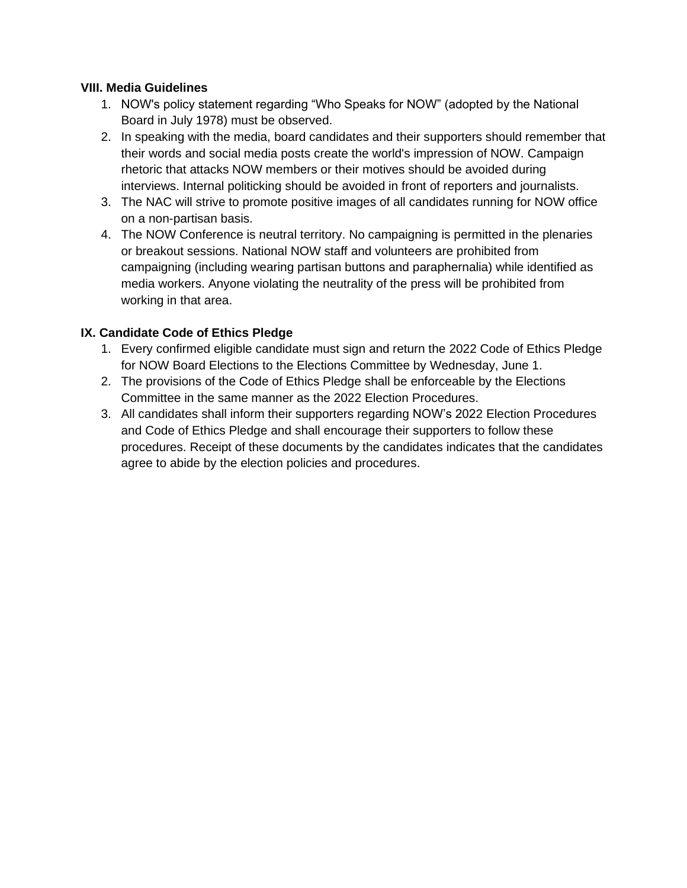#### **VIII. Media Guidelines**

- 1. NOW's policy statement regarding "Who Speaks for NOW" (adopted by the National Board in July 1978) must be observed.
- 2. In speaking with the media, board candidates and their supporters should remember that their words and social media posts create the world's impression of NOW. Campaign rhetoric that attacks NOW members or their motives should be avoided during interviews. Internal politicking should be avoided in front of reporters and journalists.
- 3. The NAC will strive to promote positive images of all candidates running for NOW office on a non-partisan basis.
- 4. The NOW Conference is neutral territory. No campaigning is permitted in the plenaries or breakout sessions. National NOW staff and volunteers are prohibited from campaigning (including wearing partisan buttons and paraphernalia) while identified as media workers. Anyone violating the neutrality of the press will be prohibited from working in that area.

#### **IX. Candidate Code of Ethics Pledge**

- 1. Every confirmed eligible candidate must sign and return the 2022 Code of Ethics Pledge for NOW Board Elections to the Elections Committee by Wednesday, June 1.
- 2. The provisions of the Code of Ethics Pledge shall be enforceable by the Elections Committee in the same manner as the 2022 Election Procedures.
- 3. All candidates shall inform their supporters regarding NOW's 2022 Election Procedures and Code of Ethics Pledge and shall encourage their supporters to follow these procedures. Receipt of these documents by the candidates indicates that the candidates agree to abide by the election policies and procedures.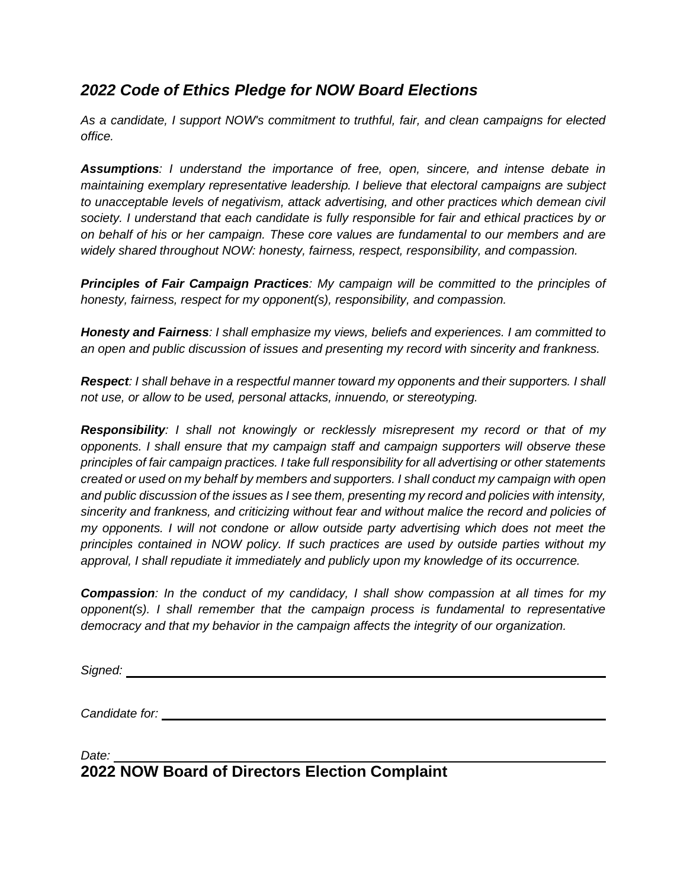# *2022 Code of Ethics Pledge for NOW Board Elections*

*As a candidate, I support NOW's commitment to truthful, fair, and clean campaigns for elected office.*

*Assumptions: I understand the importance of free, open, sincere, and intense debate in maintaining exemplary representative leadership. I believe that electoral campaigns are subject to unacceptable levels of negativism, attack advertising, and other practices which demean civil society. I understand that each candidate is fully responsible for fair and ethical practices by or on behalf of his or her campaign. These core values are fundamental to our members and are widely shared throughout NOW: honesty, fairness, respect, responsibility, and compassion.*

*Principles of Fair Campaign Practices: My campaign will be committed to the principles of honesty, fairness, respect for my opponent(s), responsibility, and compassion.*

*Honesty and Fairness: I shall emphasize my views, beliefs and experiences. I am committed to an open and public discussion of issues and presenting my record with sincerity and frankness.*

*Respect: I shall behave in a respectful manner toward my opponents and their supporters. I shall not use, or allow to be used, personal attacks, innuendo, or stereotyping.*

*Responsibility: I shall not knowingly or recklessly misrepresent my record or that of my opponents. I shall ensure that my campaign staff and campaign supporters will observe these principles of fair campaign practices. I take full responsibility for all advertising or other statements created or used on my behalf by members and supporters. I shall conduct my campaign with open and public discussion of the issues as I see them, presenting my record and policies with intensity, sincerity and frankness, and criticizing without fear and without malice the record and policies of my opponents. I will not condone or allow outside party advertising which does not meet the principles contained in NOW policy. If such practices are used by outside parties without my approval, I shall repudiate it immediately and publicly upon my knowledge of its occurrence.*

*Compassion: In the conduct of my candidacy, I shall show compassion at all times for my opponent(s). I shall remember that the campaign process is fundamental to representative democracy and that my behavior in the campaign affects the integrity of our organization.*

*Signed:* 

*Candidate for:* 

*Date:*  **2022 NOW Board of Directors Election Complaint**